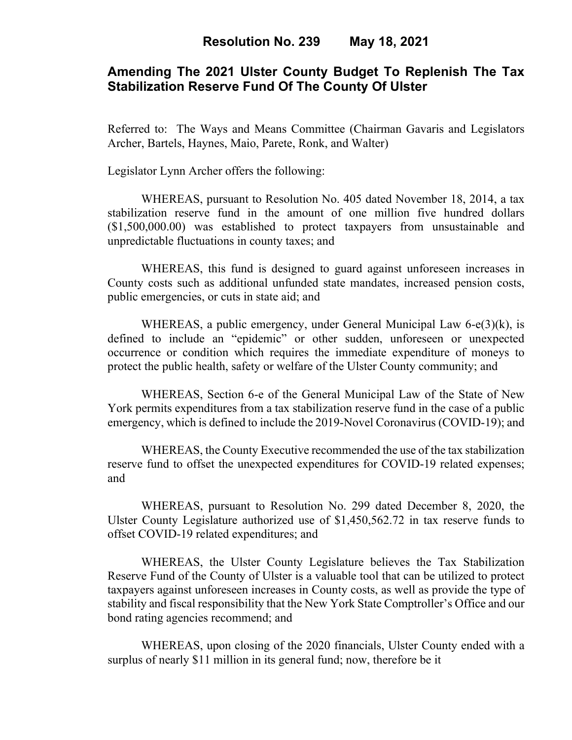## **Amending The 2021 Ulster County Budget To Replenish The Tax Stabilization Reserve Fund Of The County Of Ulster**

Referred to: The Ways and Means Committee (Chairman Gavaris and Legislators Archer, Bartels, Haynes, Maio, Parete, Ronk, and Walter)

Legislator Lynn Archer offers the following:

WHEREAS, pursuant to Resolution No. 405 dated November 18, 2014, a tax stabilization reserve fund in the amount of one million five hundred dollars (\$1,500,000.00) was established to protect taxpayers from unsustainable and unpredictable fluctuations in county taxes; and

WHEREAS, this fund is designed to guard against unforeseen increases in County costs such as additional unfunded state mandates, increased pension costs, public emergencies, or cuts in state aid; and

WHEREAS, a public emergency, under General Municipal Law 6-e(3)(k), is defined to include an "epidemic" or other sudden, unforeseen or unexpected occurrence or condition which requires the immediate expenditure of moneys to protect the public health, safety or welfare of the Ulster County community; and

WHEREAS, Section 6-e of the General Municipal Law of the State of New York permits expenditures from a tax stabilization reserve fund in the case of a public emergency, which is defined to include the 2019-Novel Coronavirus (COVID-19); and

WHEREAS, the County Executive recommended the use of the tax stabilization reserve fund to offset the unexpected expenditures for COVID-19 related expenses; and

WHEREAS, pursuant to Resolution No. 299 dated December 8, 2020, the Ulster County Legislature authorized use of \$1,450,562.72 in tax reserve funds to offset COVID-19 related expenditures; and

WHEREAS, the Ulster County Legislature believes the Tax Stabilization Reserve Fund of the County of Ulster is a valuable tool that can be utilized to protect taxpayers against unforeseen increases in County costs, as well as provide the type of stability and fiscal responsibility that the New York State Comptroller's Office and our bond rating agencies recommend; and

WHEREAS, upon closing of the 2020 financials, Ulster County ended with a surplus of nearly \$11 million in its general fund; now, therefore be it